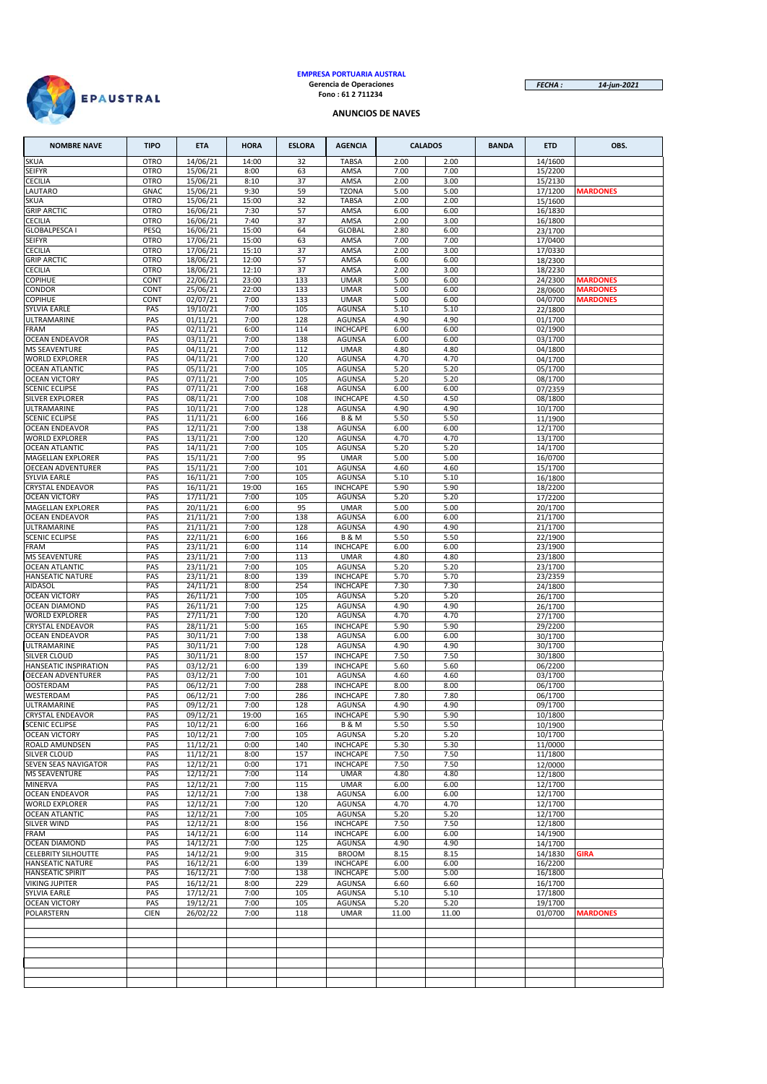

# **EMPRESA PORTUARIA AUSTRAL Gerencia de Operaciones Fono : 61 2 711234**

*FECHA : 14-jun-2021*

#### **ANUNCIOS DE NAVES**

| <b>NOMBRE NAVE</b>                                 | <b>TIPO</b>                | <b>ETA</b>                       | <b>HORA</b>    | <b>ESLORA</b> | <b>AGENCIA</b>                     |              | <b>CALADOS</b> | <b>BANDA</b> | <b>ETD</b>         | OBS.                               |
|----------------------------------------------------|----------------------------|----------------------------------|----------------|---------------|------------------------------------|--------------|----------------|--------------|--------------------|------------------------------------|
| SKUA                                               | <b>OTRO</b>                | 14/06/21                         | 14:00          | 32            | <b>TABSA</b>                       | 2.00         | 2.00           |              | 14/1600            |                                    |
| SEIFYR                                             | <b>OTRO</b>                | 15/06/21                         | 8:00           | 63            | AMSA                               | 7.00         | 7.00           |              | 15/2200            |                                    |
| <b>CECILIA</b><br>LAUTARO                          | <b>OTRO</b><br><b>GNAC</b> | 15/06/21<br>15/06/21             | 8:10<br>9:30   | 37<br>59      | AMSA<br><b>TZONA</b>               | 2.00<br>5.00 | 3.00<br>5.00   |              | 15/2130<br>17/1200 | <b>MARDONES</b>                    |
| <b>SKUA</b>                                        | <b>OTRO</b>                | 15/06/21                         | 15:00          | 32            | <b>TABSA</b>                       | 2.00         | 2.00           |              | 15/1600            |                                    |
| <b>GRIP ARCTIC</b>                                 | <b>OTRO</b>                | 16/06/21                         | 7:30           | 57            | AMSA                               | 6.00         | 6.00           |              | 16/1830            |                                    |
| CECILIA                                            | <b>OTRO</b>                | 16/06/21                         | 7:40           | 37            | AMSA                               | 2.00         | 3.00           |              | 16/1800            |                                    |
| <b>GLOBALPESCA I</b><br>SEIFYR                     | PESQ<br><b>OTRO</b>        | 16/06/21<br>17/06/21             | 15:00<br>15:00 | 64<br>63      | <b>GLOBAL</b><br>AMSA              | 2.80<br>7.00 | 6.00<br>7.00   |              | 23/1700<br>17/0400 |                                    |
| <b>CECILIA</b>                                     | <b>OTRO</b>                | 17/06/21                         | 15:10          | 37            | AMSA                               | 2.00         | 3.00           |              | 17/0330            |                                    |
| <b>GRIP ARCTIC</b>                                 | <b>OTRO</b>                | 18/06/21                         | 12:00          | 57            | AMSA                               | 6.00         | 6.00           |              | 18/2300            |                                    |
| <b>CECILIA</b>                                     | <b>OTRO</b>                | 18/06/21                         | 12:10          | 37            | AMSA                               | 2.00         | 3.00           |              | 18/2230            |                                    |
| COPIHUE<br>CONDOR                                  | CONT<br>CONT               | 22/06/21<br>25/06/21             | 23:00<br>22:00 | 133<br>133    | <b>UMAR</b><br><b>UMAR</b>         | 5.00<br>5.00 | 6.00<br>6.00   |              | 24/2300<br>28/0600 | <b>MARDONES</b><br><b>MARDONES</b> |
| COPIHUE                                            | CONT                       | 02/07/21                         | 7:00           | 133           | <b>UMAR</b>                        | 5.00         | 6.00           |              | 04/0700            | <b>MARDONES</b>                    |
| <b>SYLVIA EARLE</b>                                | PAS                        | 19/10/21                         | 7:00           | 105           | <b>AGUNSA</b>                      | 5.10         | 5.10           |              | 22/1800            |                                    |
| ULTRAMARINE                                        | PAS                        | 01/11/21                         | 7:00           | 128           | AGUNSA                             | 4.90         | 4.90           |              | 01/1700            |                                    |
| <b>FRAM</b><br><b>OCEAN ENDEAVOR</b>               | PAS<br>PAS                 | 02/11/21<br>03/11/21             | 6:00<br>7:00   | 114<br>138    | <b>INCHCAPE</b><br><b>AGUNSA</b>   | 6.00<br>6.00 | 6.00<br>6.00   |              | 02/1900<br>03/1700 |                                    |
| <b>MS SEAVENTURE</b>                               | PAS                        | 04/11/21                         | 7:00           | 112           | <b>UMAR</b>                        | 4.80         | 4.80           |              | 04/1800            |                                    |
| <b>WORLD EXPLORER</b>                              | PAS                        | 04/11/21                         | 7:00           | 120           | <b>AGUNSA</b>                      | 4.70         | 4.70           |              | 04/1700            |                                    |
| <b>OCEAN ATLANTIC</b>                              | PAS                        | 05/11/21                         | 7:00           | 105           | AGUNSA                             | 5.20         | 5.20           |              | 05/1700            |                                    |
| <b>OCEAN VICTORY</b>                               | PAS                        | 07/11/21                         | 7:00           | 105           | <b>AGUNSA</b>                      | 5.20         | 5.20           |              | 08/1700            |                                    |
| <b>SCENIC ECLIPSE</b><br>SILVER EXPLORER           | PAS<br>PAS                 | 07/11/21<br>08/11/21             | 7:00<br>7:00   | 168<br>108    | <b>AGUNSA</b><br><b>INCHCAPE</b>   | 6.00<br>4.50 | 6.00<br>4.50   |              | 07/2359<br>08/1800 |                                    |
| ULTRAMARINE                                        | PAS                        | 10/11/21                         | 7:00           | 128           | AGUNSA                             | 4.90         | 4.90           |              | 10/1700            |                                    |
| <b>SCENIC ECLIPSE</b>                              | PAS                        | 11/11/21                         | 6:00           | 166           | <b>B &amp; M</b>                   | 5.50         | 5.50           |              | 11/1900            |                                    |
| <b>OCEAN ENDEAVOR</b>                              | PAS                        | 12/11/21                         | 7:00           | 138           | AGUNSA                             | 6.00         | 6.00           |              | 12/1700            |                                    |
| <b>WORLD EXPLORER</b><br><b>OCEAN ATLANTIC</b>     | PAS<br>PAS                 | 13/11/21<br>14/11/21             | 7:00<br>7:00   | 120<br>105    | <b>AGUNSA</b><br>AGUNSA            | 4.70<br>5.20 | 4.70<br>5.20   |              | 13/1700<br>14/1700 |                                    |
| MAGELLAN EXPLORER                                  | PAS                        | 15/11/21                         | 7:00           | 95            | <b>UMAR</b>                        | 5.00         | 5.00           |              | 16/0700            |                                    |
| <b>OECEAN ADVENTURER</b>                           | PAS                        | 15/11/21                         | 7:00           | 101           | <b>AGUNSA</b>                      | 4.60         | 4.60           |              | 15/1700            |                                    |
| SYLVIA EARLE                                       | PAS                        | 16/11/21                         | 7:00           | 105           | AGUNSA                             | 5.10         | 5.10           |              | 16/1800            |                                    |
| <b>CRYSTAL ENDEAVOR</b><br><b>OCEAN VICTORY</b>    | PAS<br>PAS                 | 16/11/21<br>17/11/21             | 19:00<br>7:00  | 165<br>105    | <b>INCHCAPE</b><br>AGUNSA          | 5.90<br>5.20 | 5.90<br>5.20   |              | 18/2200<br>17/2200 |                                    |
| MAGELLAN EXPLORER                                  | PAS                        | 20/11/21                         | 6:00           | 95            | <b>UMAR</b>                        | 5.00         | 5.00           |              | 20/1700            |                                    |
| <b>OCEAN ENDEAVOR</b>                              | PAS                        | 21/11/21                         | 7:00           | 138           | <b>AGUNSA</b>                      | 6.00         | 6.00           |              | 21/1700            |                                    |
| ULTRAMARINE                                        | PAS                        | 21/11/21                         | 7:00           | 128           | <b>AGUNSA</b>                      | 4.90         | 4.90           |              | 21/1700            |                                    |
| <b>SCENIC ECLIPSE</b><br><b>FRAM</b>               | PAS<br>PAS                 | $\frac{1}{22}/11/21$<br>23/11/21 | 6:00<br>6:00   | 166<br>114    | <b>B&amp;M</b><br><b>INCHCAPE</b>  | 5.50<br>6.00 | 5.50<br>6.00   |              | 22/1900<br>23/1900 |                                    |
| <b>MS SEAVENTURE</b>                               | PAS                        | 23/11/21                         | 7:00           | 113           | <b>UMAR</b>                        | 4.80         | 4.80           |              | 23/1800            |                                    |
| <b>OCEAN ATLANTIC</b>                              | PAS                        | 23/11/21                         | 7:00           | 105           | AGUNSA                             | 5.20         | 5.20           |              | 23/1700            |                                    |
| <b>HANSEATIC NATURE</b>                            | PAS                        | 23/11/21                         | 8:00           | 139           | <b>INCHCAPE</b>                    | 5.70         | 5.70           |              | 23/2359            |                                    |
| <b>AIDASOL</b><br><b>OCEAN VICTORY</b>             | PAS<br>PAS                 | 24/11/21<br>26/11/21             | 8:00<br>7:00   | 254<br>105    | <b>INCHCAPE</b><br>AGUNSA          | 7.30<br>5.20 | 7.30<br>5.20   |              | 24/1800<br>26/1700 |                                    |
| <b>OCEAN DIAMOND</b>                               | PAS                        | 26/11/21                         | 7:00           | 125           | <b>AGUNSA</b>                      | 4.90         | 4.90           |              | 26/1700            |                                    |
| <b>WORLD EXPLORER</b>                              | PAS                        | 27/11/21                         | 7:00           | 120           | <b>AGUNSA</b>                      | 4.70         | 4.70           |              | 27/1700            |                                    |
| <b>CRYSTAL ENDEAVOR</b><br><b>OCEAN ENDEAVOR</b>   | PAS<br>PAS                 | 28/11/21<br>30/11/21             | 5:00<br>7:00   | 165<br>138    | <b>INCHCAPE</b><br>AGUNSA          | 5.90<br>6.00 | 5.90<br>6.00   |              | 29/2200<br>30/1700 |                                    |
| ULTRAMARINE                                        | PAS                        | 30/11/21                         | 7:00           | 128           | AGUNSA                             | 4.90         | 4.90           |              | 30/1700            |                                    |
| SILVER CLOUD                                       | PAS                        | 30/11/21                         | 8:00           | 157           | <b>INCHCAPE</b>                    | 7.50         | 7.50           |              | 30/1800            |                                    |
| HANSEATIC INSPIRATION                              | PAS                        | 03/12/21                         | 6:00           | 139           | <b>INCHCAPE</b>                    | 5.60         | 5.60           |              | 06/2200            |                                    |
| <b>OECEAN ADVENTURER</b><br><b>OOSTERDAM</b>       | PAS<br>PAS                 | 03/12/21<br>06/12/21             | 7:00<br>7:00   | 101<br>288    | <b>AGUNSA</b><br><b>INCHCAPE</b>   | 4.60<br>8.00 | 4.60<br>8.00   |              | 03/1700<br>06/1700 |                                    |
| WESTERDAM                                          | PAS                        | 06/12/21                         | 7:00           | 286           | <b>INCHCAPE</b>                    | 7.80         | 7.80           |              | 06/1700            |                                    |
| ULTRAMARINE                                        | PAS                        | 09/12/21                         | 7:00           | 128           | <b>AGUNSA</b>                      | 4.90         | 4.90           |              | 09/1700            |                                    |
| <b>CRYSTAL ENDEAVOR</b>                            | PAS.                       | 09/12/21                         | 19:00          | 165           | <b>INCHCAPE</b>                    | 5.90         | 5.90           |              | 10/1800            |                                    |
| <b>SCENIC ECLIPSE</b><br><b>OCEAN VICTORY</b>      | PAS<br>PAS                 | 10/12/21<br>10/12/21             | 6:00<br>7:00   | 166<br>105    | <b>B&amp;M</b><br>AGUNSA           | 5.50<br>5.20 | 5.50<br>5.20   |              | 10/1900<br>10/1700 |                                    |
| ROALD AMUNDSEN                                     | PAS                        | 11/12/21                         | 0:00           | 140           | <b>INCHCAPE</b>                    | 5.30         | 5.30           |              | 11/0000            |                                    |
| SILVER CLOUD                                       | PAS                        | 11/12/21                         | 8:00           | 157           | <b>INCHCAPE</b>                    | 7.50         | 7.50           |              | 11/1800            |                                    |
| SEVEN SEAS NAVIGATOR<br><b>MS SEAVENTURE</b>       | PAS<br>PAS                 | 12/12/21<br>12/12/21             | 0:00<br>7:00   | 171<br>114    | <b>INCHCAPE</b><br><b>UMAR</b>     | 7.50<br>4.80 | 7.50<br>4.80   |              | 12/0000            |                                    |
| <b>MINERVA</b>                                     | PAS                        | 12/12/21                         | 7:00           | 115           | <b>UMAR</b>                        | 6.00         | 6.00           |              | 12/1800<br>12/1700 |                                    |
| <b>OCEAN ENDEAVOR</b>                              | PAS                        | 12/12/21                         | 7:00           | 138           | AGUNSA                             | 6.00         | 6.00           |              | 12/1700            |                                    |
| <b>WORLD EXPLORER</b>                              | PAS                        | 12/12/21                         | 7:00           | 120           | AGUNSA                             | 4.70         | 4.70           |              | 12/1700            |                                    |
| OCEAN ATLANTIC                                     | PAS<br>PAS                 | 12/12/21<br>12/12/21             | 7:00           | 105           | AGUNSA                             | 5.20         | 5.20           |              | 12/1700            |                                    |
| SILVER WIND<br>FRAM                                | PAS                        | 14/12/21                         | 8:00<br>6:00   | 156<br>114    | <b>INCHCAPE</b><br><b>INCHCAPE</b> | 7.50<br>6.00 | 7.50<br>6.00   |              | 12/1800<br>14/1900 |                                    |
| OCEAN DIAMOND                                      | PAS                        | 14/12/21                         | 7:00           | 125           | AGUNSA                             | 4.90         | 4.90           |              | 14/1700            |                                    |
| <b>CELEBRITY SILHOUTTE</b>                         | PAS                        | 14/12/21                         | 9:00           | 315           | <b>BROOM</b>                       | 8.15         | 8.15           |              | 14/1830            | <b>GIRA</b>                        |
| <b>HANSEATIC NATURE</b><br><b>HANSEATIC SPIRIT</b> | PAS<br>PAS                 | 16/12/21<br>16/12/21             | 6:00<br>7:00   | 139<br>138    | <b>INCHCAPE</b><br><b>INCHCAPE</b> | 6.00<br>5.00 | 6.00<br>5.00   |              | 16/2200<br>16/1800 |                                    |
| <b>VIKING JUPITER</b>                              | PAS                        | 16/12/21                         | 8:00           | 229           | AGUNSA                             | 6.60         | 6.60           |              | 16/1700            |                                    |
| SYLVIA EARLE                                       | PAS                        | 17/12/21                         | 7:00           | 105           | AGUNSA                             | 5.10         | 5.10           |              | 17/1800            |                                    |
| <b>OCEAN VICTORY</b>                               | PAS                        | 19/12/21                         | 7:00           | 105           | AGUNSA                             | 5.20         | 5.20           |              | 19/1700            |                                    |
| POLARSTERN                                         | <b>CIEN</b>                | 26/02/22                         | 7:00           | 118           | <b>UMAR</b>                        | 11.00        | 11.00          |              | 01/0700            | <b>MARDONES</b>                    |
|                                                    |                            |                                  |                |               |                                    |              |                |              |                    |                                    |
|                                                    |                            |                                  |                |               |                                    |              |                |              |                    |                                    |
|                                                    |                            |                                  |                |               |                                    |              |                |              |                    |                                    |
|                                                    |                            |                                  |                |               |                                    |              |                |              |                    |                                    |
|                                                    |                            |                                  |                |               |                                    |              |                |              |                    |                                    |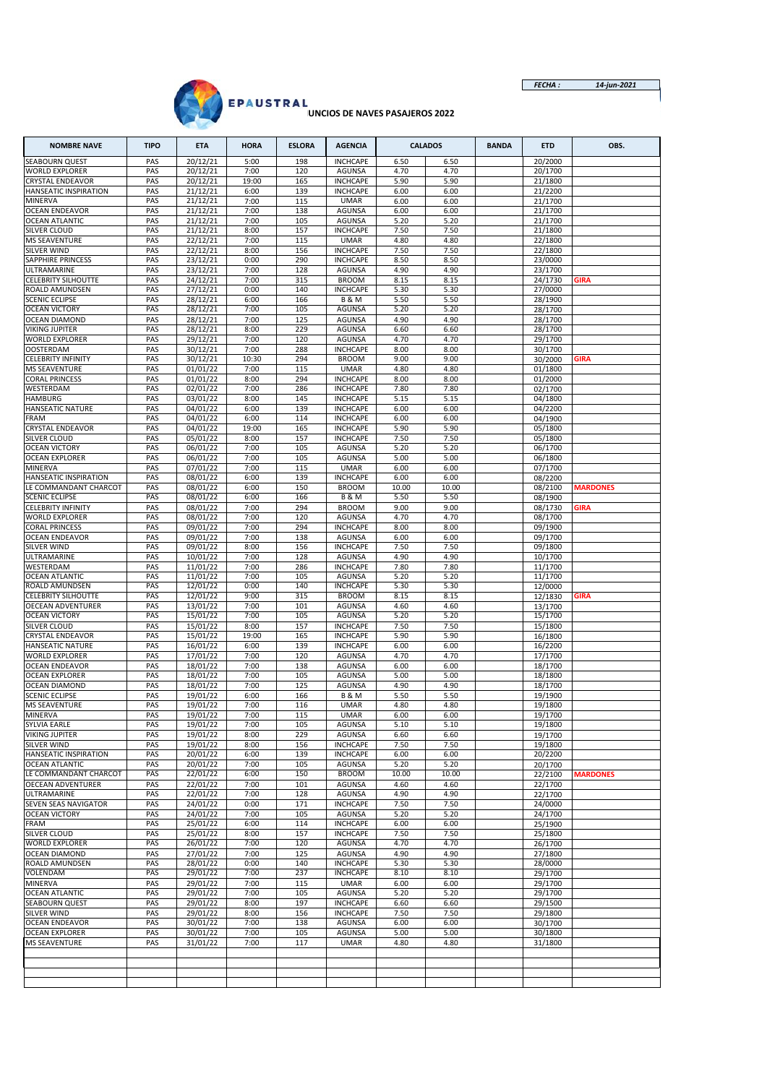

## *FECHA : 14-jun-2021*

| <b>NOMBRE NAVE</b>                                 | <b>TIPO</b> | <b>ETA</b>           | <b>HORA</b>   | <b>ESLORA</b> | <b>AGENCIA</b>                     |               | <b>CALADOS</b> | <b>BANDA</b> | <b>ETD</b>         | OBS.            |
|----------------------------------------------------|-------------|----------------------|---------------|---------------|------------------------------------|---------------|----------------|--------------|--------------------|-----------------|
| <b>SEABOURN QUEST</b>                              | PAS         | 20/12/21             | 5:00          | 198           | <b>INCHCAPE</b>                    | 6.50          | 6.50           |              | 20/2000            |                 |
| <b>WORLD EXPLORER</b><br><b>CRYSTAL ENDEAVOR</b>   | PAS<br>PAS  | 20/12/21<br>20/12/21 | 7:00<br>19:00 | 120<br>165    | <b>AGUNSA</b><br><b>INCHCAPE</b>   | 4.70<br>5.90  | 4.70<br>5.90   |              | 20/1700<br>21/1800 |                 |
| HANSEATIC INSPIRATION                              | PAS         | 21/12/21             | 6:00          | 139           | <b>INCHCAPE</b>                    | 6.00          | 6.00           |              | 21/2200            |                 |
| MINERVA                                            | PAS         | 21/12/21             | 7:00          | 115           | <b>UMAR</b>                        | 6.00          | 6.00           |              | 21/1700            |                 |
| <b>OCEAN ENDEAVOR</b>                              | PAS         | 21/12/21             | 7:00          | 138           | AGUNSA<br><b>AGUNSA</b>            | 6.00          | 6.00           |              | 21/1700            |                 |
| <b>OCEAN ATLANTIC</b><br>SILVER CLOUD              | PAS<br>PAS  | 21/12/21<br>21/12/21 | 7:00<br>8:00  | 105<br>157    | <b>INCHCAPE</b>                    | 5.20<br>7.50  | 5.20<br>7.50   |              | 21/1700<br>21/1800 |                 |
| <b>MS SEAVENTURE</b>                               | PAS         | 22/12/21             | 7:00          | 115           | <b>UMAR</b>                        | 4.80          | 4.80           |              | 22/1800            |                 |
| <b>SILVER WIND</b>                                 | PAS         | 22/12/21             | 8:00          | 156           | <b>INCHCAPE</b>                    | 7.50          | 7.50           |              | 22/1800            |                 |
| SAPPHIRE PRINCESS<br>ULTRAMARINE                   | PAS<br>PAS  | 23/12/21<br>23/12/21 | 0:00<br>7:00  | 290<br>128    | <b>INCHCAPE</b><br><b>AGUNSA</b>   | 8.50<br>4.90  | 8.50<br>4.90   |              | 23/0000<br>23/1700 |                 |
| <b>CELEBRITY SILHOUTTE</b>                         | PAS         | 24/12/21             | 7:00          | 315           | <b>BROOM</b>                       | 8.15          | 8.15           |              | 24/1730            | <b>GIRA</b>     |
| ROALD AMUNDSEN                                     | PAS         | 27/12/21             | 0:00          | 140           | <b>INCHCAPE</b>                    | 5.30          | 5.30           |              | 27/0000            |                 |
| <b>SCENIC ECLIPSE</b>                              | PAS         | 28/12/21             | 6:00          | 166           | <b>B &amp; M</b>                   | 5.50          | 5.50           |              | 28/1900            |                 |
| <b>OCEAN VICTORY</b><br><b>OCEAN DIAMOND</b>       | PAS<br>PAS  | 28/12/21<br>28/12/21 | 7:00<br>7:00  | 105<br>125    | <b>AGUNSA</b><br><b>AGUNSA</b>     | 5.20<br>4.90  | 5.20<br>4.90   |              | 28/1700<br>28/1700 |                 |
| VIKING JUPITER                                     | PAS         | 28/12/21             | 8:00          | 229           | <b>AGUNSA</b>                      | 6.60          | 6.60           |              | 28/1700            |                 |
| <b>WORLD EXPLORER</b>                              | PAS         | 29/12/21             | 7:00          | 120           | AGUNSA                             | 4.70          | 4.70           |              | 29/1700            |                 |
| <b>OOSTERDAM</b>                                   | PAS         | 30/12/21             | 7:00          | 288           | <b>INCHCAPE</b>                    | 8.00          | 8.00           |              | 30/1700            |                 |
| <b>CELEBRITY INFINITY</b><br><b>MS SEAVENTURE</b>  | PAS<br>PAS  | 30/12/21<br>01/01/22 | 10:30<br>7:00 | 294<br>115    | <b>BROOM</b><br><b>UMAR</b>        | 9.00<br>4.80  | 9.00<br>4.80   |              | 30/2000<br>01/1800 | <b>GIRA</b>     |
| <b>CORAL PRINCESS</b>                              | PAS         | 01/01/22             | 8:00          | 294           | <b>INCHCAPE</b>                    | 8.00          | 8.00           |              | 01/2000            |                 |
| WESTERDAM                                          | PAS         | 02/01/22             | 7:00          | 286           | <b>INCHCAPE</b>                    | 7.80          | 7.80           |              | 02/1700            |                 |
| <b>HAMBURG</b><br><b>HANSEATIC NATURE</b>          | PAS<br>PAS  | 03/01/22<br>04/01/22 | 8:00<br>6:00  | 145<br>139    | <b>INCHCAPE</b><br><b>INCHCAPE</b> | 5.15<br>6.00  | 5.15<br>6.00   |              | 04/1800<br>04/2200 |                 |
| FRAM                                               | PAS         | 04/01/22             | 6:00          | 114           | <b>INCHCAPE</b>                    | 6.00          | 6.00           |              | 04/1900            |                 |
| <b>CRYSTAL ENDEAVOR</b>                            | PAS         | 04/01/22             | 19:00         | 165           | <b>INCHCAPE</b>                    | 5.90          | 5.90           |              | 05/1800            |                 |
| SILVER CLOUD                                       | PAS         | 05/01/22             | 8:00          | 157           | <b>INCHCAPE</b>                    | 7.50          | 7.50           |              | 05/1800            |                 |
| <b>OCEAN VICTORY</b><br><b>OCEAN EXPLORER</b>      | PAS<br>PAS  | 06/01/22<br>06/01/22 | 7:00<br>7:00  | 105<br>105    | AGUNSA<br><b>AGUNSA</b>            | 5.20<br>5.00  | 5.20<br>5.00   |              | 06/1700<br>06/1800 |                 |
| MINERVA                                            | PAS         | 07/01/22             | 7:00          | 115           | <b>UMAR</b>                        | 6.00          | 6.00           |              | 07/1700            |                 |
| HANSEATIC INSPIRATION                              | PAS         | 08/01/22             | 6:00          | 139           | <b>INCHCAPE</b>                    | 6.00          | 6.00           |              | 08/2200            |                 |
| LE COMMANDANT CHARCOT                              | PAS         | 08/01/22             | 6:00          | 150           | <b>BROOM</b>                       | 10.00         | 10.00          |              | 08/2100            | <b>MARDONES</b> |
| <b>SCENIC ECLIPSE</b><br><b>CELEBRITY INFINITY</b> | PAS<br>PAS  | 08/01/22<br>08/01/22 | 6:00<br>7:00  | 166<br>294    | <b>B &amp; M</b><br><b>BROOM</b>   | 5.50<br>9.00  | 5.50<br>9.00   |              | 08/1900<br>08/1730 | GIRA            |
| <b>WORLD EXPLORER</b>                              | PAS         | 08/01/22             | 7:00          | 120           | <b>AGUNSA</b>                      | 4.70          | 4.70           |              | 08/1700            |                 |
| <b>CORAL PRINCESS</b>                              | PAS         | 09/01/22             | 7:00          | 294           | <b>INCHCAPE</b>                    | 8.00          | 8.00           |              | 09/1900            |                 |
| <b>OCEAN ENDEAVOR</b><br>SILVER WIND               | PAS<br>PAS  | 09/01/22<br>09/01/22 | 7:00<br>8:00  | 138<br>156    | <b>AGUNSA</b><br><b>INCHCAPE</b>   | 6.00<br>7.50  | 6.00<br>7.50   |              | 09/1700<br>09/1800 |                 |
| ULTRAMARINE                                        | PAS         | 10/01/22             | 7:00          | 128           | <b>AGUNSA</b>                      | 4.90          | 4.90           |              | 10/1700            |                 |
| WESTERDAM                                          | PAS         | 11/01/22             | 7:00          | 286           | <b>INCHCAPE</b>                    | 7.80          | 7.80           |              | 11/1700            |                 |
| <b>OCEAN ATLANTIC</b><br>ROALD AMUNDSEN            | PAS<br>PAS  | 11/01/22             | 7:00<br>0:00  | 105<br>140    | <b>AGUNSA</b><br><b>INCHCAPE</b>   | 5.20          | 5.20<br>5.30   |              | 11/1700            |                 |
| <b>CELEBRITY SILHOUTTE</b>                         | PAS         | 12/01/22<br>12/01/22 | 9:00          | 315           | <b>BROOM</b>                       | 5.30<br>8.15  | 8.15           |              | 12/0000<br>12/1830 | <b>GIRA</b>     |
| <b>OECEAN ADVENTURER</b>                           | PAS         | 13/01/22             | 7:00          | 101           | <b>AGUNSA</b>                      | 4.60          | 4.60           |              | 13/1700            |                 |
| <b>OCEAN VICTORY</b>                               | PAS         | 15/01/22             | 7:00          | 105           | <b>AGUNSA</b>                      | 5.20          | 5.20           |              | 15/1700            |                 |
| SILVER CLOUD<br><b>CRYSTAL ENDEAVOR</b>            | PAS<br>PAS  | 15/01/22<br>15/01/22 | 8:00<br>19:00 | 157<br>165    | <b>INCHCAPE</b><br><b>INCHCAPE</b> | 7.50<br>5.90  | 7.50<br>5.90   |              | 15/1800<br>16/1800 |                 |
| <b>HANSEATIC NATURE</b>                            | PAS         | 16/01/22             | 6:00          | 139           | <b>INCHCAPE</b>                    | 6.00          | 6.00           |              | 16/2200            |                 |
| <b>WORLD EXPLORER</b>                              | PAS         | 17/01/22             | 7:00          | 120           | AGUNSA                             | 4.70          | 4.70           |              | 17/1700            |                 |
| <b>OCEAN ENDEAVOR</b>                              | PAS         | 18/01/22             | 7:00          | 138           | AGUNSA                             | 6.00          | 6.00           |              | 18/1700            |                 |
| <b>OCEAN EXPLORER</b><br><b>OCEAN DIAMOND</b>      | PAS<br>PAS  | 18/01/22<br>18/01/22 | 7:00<br>7:00  | 105<br>125    | <b>AGUNSA</b><br><b>AGUNSA</b>     | 5.00<br>4.90  | 5.00<br>4.90   |              | 18/1800<br>18/1700 |                 |
| <b>SCENIC ECLIPSE</b>                              | PAS         | 19/01/22             | 6:00          | 166           | <b>B&amp;M</b>                     | 5.50          | 5.50           |              | 19/1900            |                 |
| <b>MS SEAVENTURE</b>                               | PAS         | 19/01/22             | 7:00          | 116           | <b>UMAR</b>                        | 4.80          | 4.80           |              | 19/1800            |                 |
| MINERVA<br>SYLVIA EARLE                            | PAS<br>PAS  | 19/01/22<br>19/01/22 | 7:00<br>7:00  | 115<br>105    | <b>UMAR</b><br>AGUNSA              | 6.00<br>5.10  | 6.00<br>5.10   |              | 19/1700<br>19/1800 |                 |
| VIKING JUPITER                                     | PAS         | 19/01/22             | 8:00          | 229           | <b>AGUNSA</b>                      | 6.60          | 6.60           |              | 19/1700            |                 |
| SILVER WIND                                        | PAS         | 19/01/22             | 8:00          | 156           | <b>INCHCAPE</b>                    | 7.50          | 7.50           |              | 19/1800            |                 |
| HANSEATIC INSPIRATION                              | PAS         | 20/01/22             | 6:00          | 139           | <b>INCHCAPE</b>                    | 6.00          | 6.00           |              | 20/2200            |                 |
| <b>OCEAN ATLANTIC</b><br>LE COMMANDANT CHARCOT     | PAS<br>PAS  | 20/01/22<br>22/01/22 | 7:00<br>6:00  | 105<br>150    | AGUNSA<br><b>BROOM</b>             | 5.20<br>10.00 | 5.20<br>10.00  |              | 20/1700<br>22/2100 | <b>MARDONES</b> |
| <b>OECEAN ADVENTURER</b>                           | PAS         | 22/01/22             | 7:00          | 101           | <b>AGUNSA</b>                      | 4.60          | 4.60           |              | 22/1700            |                 |
| ULTRAMARINE                                        | PAS         | 22/01/22             | 7:00          | 128           | AGUNSA                             | 4.90          | 4.90           |              | 22/1700            |                 |
| SEVEN SEAS NAVIGATOR                               | PAS         | 24/01/22             | 0:00          | 171           | <b>INCHCAPE</b>                    | 7.50          | 7.50           |              | 24/0000            |                 |
| <b>OCEAN VICTORY</b><br>FRAM                       | PAS<br>PAS  | 24/01/22<br>25/01/22 | 7:00<br>6:00  | 105<br>114    | AGUNSA<br><b>INCHCAPE</b>          | 5.20<br>6.00  | 5.20<br>6.00   |              | 24/1700<br>25/1900 |                 |
| SILVER CLOUD                                       | PAS         | 25/01/22             | 8:00          | 157           | <b>INCHCAPE</b>                    | 7.50          | 7.50           |              | 25/1800            |                 |
| WORLD EXPLORER                                     | PAS         | 26/01/22             | 7:00          | 120           | AGUNSA                             | 4.70          | 4.70           |              | 26/1700            |                 |
| <b>OCEAN DIAMOND</b><br><b>ROALD AMUNDSEN</b>      | PAS<br>PAS  | 27/01/22             | 7:00          | 125           | <b>AGUNSA</b>                      | 4.90          | 4.90           |              | 27/1800<br>28/0000 |                 |
| <b>VOLENDAM</b>                                    | PAS         | 28/01/22<br>29/01/22 | 0:00<br>7:00  | 140<br>237    | <b>INCHCAPE</b><br><b>INCHCAPE</b> | 5.30<br>8.10  | 5.30<br>8.10   |              | 29/1700            |                 |
| MINERVA                                            | PAS         | 29/01/22             | 7:00          | 115           | <b>UMAR</b>                        | 6.00          | 6.00           |              | 29/1700            |                 |
| <b>OCEAN ATLANTIC</b>                              | PAS         | 29/01/22             | 7:00          | 105           | AGUNSA                             | 5.20          | 5.20           |              | 29/1700            |                 |
| SEABOURN QUEST<br>SILVER WIND                      | PAS         | 29/01/22             | 8:00          | 197           | <b>INCHCAPE</b>                    | 6.60          | 6.60           |              | 29/1500            |                 |
| <b>OCEAN ENDEAVOR</b>                              | PAS<br>PAS  | 29/01/22<br>30/01/22 | 8:00<br>7:00  | 156<br>138    | <b>INCHCAPE</b><br>AGUNSA          | 7.50<br>6.00  | 7.50<br>6.00   |              | 29/1800<br>30/1700 |                 |
| <b>OCEAN EXPLORER</b>                              | PAS         | 30/01/22             | 7:00          | 105           | AGUNSA                             | 5.00          | 5.00           |              | 30/1800            |                 |
| MS SEAVENTURE                                      | PAS         | 31/01/22             | 7:00          | 117           | <b>UMAR</b>                        | 4.80          | 4.80           |              | 31/1800            |                 |
|                                                    |             |                      |               |               |                                    |               |                |              |                    |                 |
|                                                    |             |                      |               |               |                                    |               |                |              |                    |                 |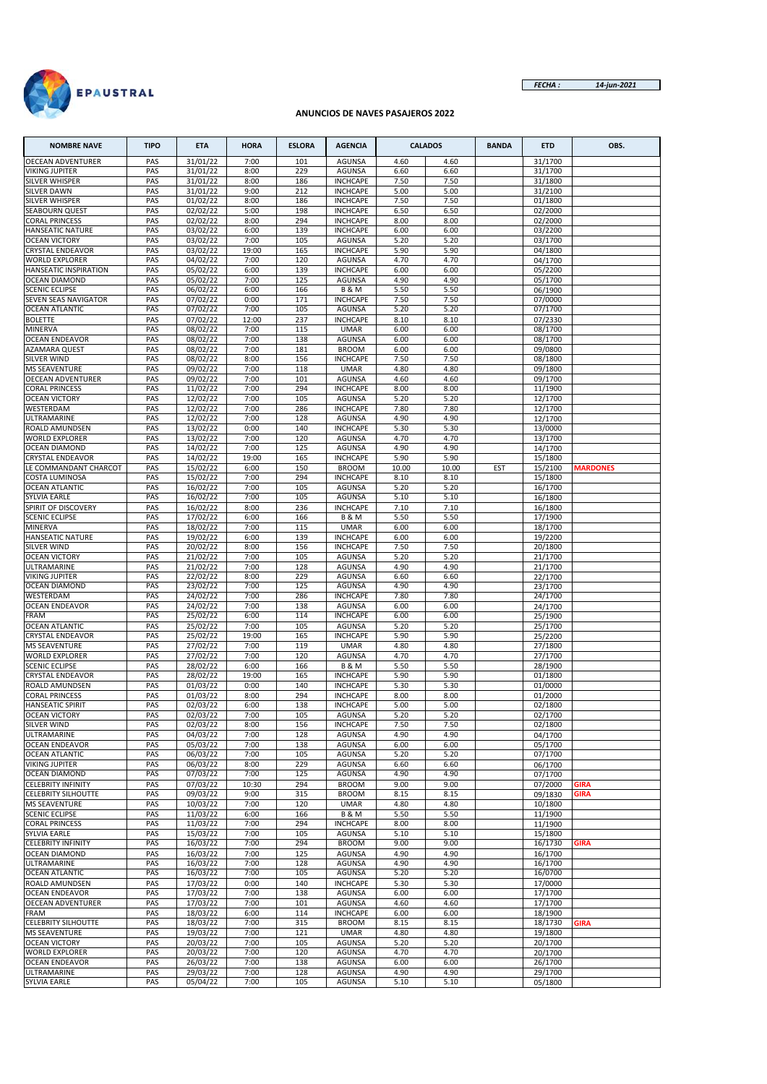



### **ANUNCIOS DE NAVES PASAJEROS 2022**

| <b>NOMBRE NAVE</b>                               | <b>TIPO</b> | <b>ETA</b>            | <b>HORA</b>   | <b>ESLORA</b> | <b>AGENCIA</b>                      |              | <b>CALADOS</b> | <b>BANDA</b> | <b>ETD</b>         | OBS.            |
|--------------------------------------------------|-------------|-----------------------|---------------|---------------|-------------------------------------|--------------|----------------|--------------|--------------------|-----------------|
| <b>OECEAN ADVENTURER</b>                         | PAS         | 31/01/22              | 7:00          | 101           | <b>AGUNSA</b>                       | 4.60         | 4.60           |              | 31/1700            |                 |
| <b>VIKING JUPITER</b>                            | PAS         | 31/01/22              | 8:00          | 229           | <b>AGUNSA</b>                       | 6.60         | 6.60           |              | 31/1700            |                 |
| <b>SILVER WHISPER</b><br>SILVER DAWN             | PAS<br>PAS  | 31/01/22<br>31/01/22  | 8:00<br>9:00  | 186<br>212    | <b>INCHCAPE</b><br><b>INCHCAPE</b>  | 7.50<br>5.00 | 7.50<br>5.00   |              | 31/1800<br>31/2100 |                 |
| <b>SILVER WHISPER</b>                            | PAS         | $\overline{01}/02/22$ | 8:00          | 186           | <b>INCHCAPE</b>                     | 7.50         | 7.50           |              | 01/1800            |                 |
| <b>SEABOURN QUEST</b>                            | PAS         | 02/02/22              | 5:00          | 198           | <b>INCHCAPE</b>                     | 6.50         | 6.50           |              | 02/2000            |                 |
| <b>CORAL PRINCESS</b>                            | PAS         | 02/02/22              | 8:00          | 294           | <b>INCHCAPE</b>                     | 8.00         | 8.00           |              | 02/2000            |                 |
| <b>HANSEATIC NATURE</b>                          | PAS         | 03/02/22              | 6:00          | 139           | <b>INCHCAPE</b>                     | 6.00         | 6.00           |              | 03/2200            |                 |
| <b>OCEAN VICTORY</b>                             | PAS         | 03/02/22              | 7:00          | 105           | <b>AGUNSA</b>                       | 5.20         | 5.20           |              | 03/1700            |                 |
| <b>CRYSTAL ENDEAVOR</b>                          | PAS         | 03/02/22              | 19:00         | 165           | <b>INCHCAPE</b>                     | 5.90         | 5.90           |              | 04/1800            |                 |
| <b>WORLD EXPLORER</b><br>HANSEATIC INSPIRATION   | PAS<br>PAS  | 04/02/22<br>05/02/22  | 7:00<br>6:00  | 120<br>139    | <b>AGUNSA</b><br><b>INCHCAPE</b>    | 4.70<br>6.00 | 4.70<br>6.00   |              | 04/1700<br>05/2200 |                 |
| <b>OCEAN DIAMOND</b>                             | PAS         | 05/02/22              | 7:00          | 125           | <b>AGUNSA</b>                       | 4.90         | 4.90           |              | 05/1700            |                 |
| <b>SCENIC ECLIPSE</b>                            | PAS         | 06/02/22              | 6:00          | 166           | <b>B&amp;M</b>                      | 5.50         | 5.50           |              | 06/1900            |                 |
| SEVEN SEAS NAVIGATOR                             | PAS         | 07/02/22              | 0:00          | 171           | <b>INCHCAPE</b>                     | 7.50         | 7.50           |              | 07/0000            |                 |
| <b>OCEAN ATLANTIC</b>                            | PAS         | 07/02/22              | 7:00          | 105           | <b>AGUNSA</b>                       | 5.20         | 5.20           |              | 07/1700            |                 |
| <b>BOLETTE</b>                                   | PAS         | 07/02/22              | 12:00         | 237           | <b>INCHCAPE</b>                     | 8.10         | 8.10           |              | 07/2330            |                 |
| MINERVA                                          | PAS         | 08/02/22              | 7:00          | 115           | <b>UMAR</b>                         | 6.00         | 6.00           |              | 08/1700            |                 |
| <b>OCEAN ENDEAVOR</b><br>AZAMARA QUEST           | PAS<br>PAS  | 08/02/22<br>08/02/22  | 7:00<br>7:00  | 138<br>181    | <b>AGUNSA</b><br><b>BROOM</b>       | 6.00<br>6.00 | 6.00<br>6.00   |              | 08/1700<br>09/0800 |                 |
| SILVER WIND                                      | PAS         | 08/02/22              | 8:00          | 156           | <b>INCHCAPE</b>                     | 7.50         | 7.50           |              | 08/1800            |                 |
| <b>MS SEAVENTURE</b>                             | PAS         | 09/02/22              | 7:00          | 118           | <b>UMAR</b>                         | 4.80         | 4.80           |              | 09/1800            |                 |
| <b>OECEAN ADVENTURER</b>                         | PAS         | 09/02/22              | 7:00          | 101           | AGUNSA                              | 4.60         | 4.60           |              | 09/1700            |                 |
| <b>CORAL PRINCESS</b>                            | PAS         | 11/02/22              | 7:00          | 294           | <b>INCHCAPE</b>                     | 8.00         | 8.00           |              | 11/1900            |                 |
| <b>OCEAN VICTORY</b>                             | PAS         | 12/02/22              | 7:00          | 105           | <b>AGUNSA</b>                       | 5.20         | 5.20           |              | 12/1700            |                 |
| WESTERDAM                                        | PAS         | 12/02/22              | 7:00          | 286           | <b>INCHCAPE</b>                     | 7.80         | 7.80           |              | 12/1700            |                 |
| ULTRAMARINE<br>ROALD AMUNDSEN                    | PAS<br>PAS  | 12/02/22<br>13/02/22  | 7:00<br>0:00  | 128<br>140    | <b>AGUNSA</b><br><b>INCHCAPE</b>    | 4.90<br>5.30 | 4.90<br>5.30   |              | 12/1700            |                 |
| <b>WORLD EXPLORER</b>                            | PAS         | 13/02/22              | 7:00          | 120           | <b>AGUNSA</b>                       | 4.70         | 4.70           |              | 13/0000<br>13/1700 |                 |
| <b>OCEAN DIAMOND</b>                             | PAS         | 14/02/22              | 7:00          | 125           | <b>AGUNSA</b>                       | 4.90         | 4.90           |              | 14/1700            |                 |
| <b>CRYSTAL ENDEAVOR</b>                          | PAS         | 14/02/22              | 19:00         | 165           | <b>INCHCAPE</b>                     | 5.90         | 5.90           |              | 15/1800            |                 |
| LE COMMANDANT CHARCOT                            | PAS         | 15/02/22              | 6:00          | 150           | <b>BROOM</b>                        | 10.00        | 10.00          | EST          | 15/2100            | <b>MARDONES</b> |
| <b>COSTA LUMINOSA</b>                            | PAS         | 15/02/22              | 7:00          | 294           | <b>INCHCAPE</b>                     | 8.10         | 8.10           |              | 15/1800            |                 |
| <b>OCEAN ATLANTIC</b>                            | PAS         | 16/02/22              | 7:00          | 105           | <b>AGUNSA</b>                       | 5.20         | 5.20           |              | 16/1700            |                 |
| SYLVIA EARLE                                     | PAS         | 16/02/22              | 7:00          | 105           | <b>AGUNSA</b>                       | 5.10         | 5.10           |              | 16/1800            |                 |
| SPIRIT OF DISCOVERY<br><b>SCENIC ECLIPSE</b>     | PAS<br>PAS  | 16/02/22<br>17/02/22  | 8:00<br>6:00  | 236<br>166    | <b>INCHCAPE</b><br><b>B &amp; M</b> | 7.10<br>5.50 | 7.10<br>5.50   |              | 16/1800<br>17/1900 |                 |
| MINERVA                                          | PAS         | 18/02/22              | 7:00          | 115           | <b>UMAR</b>                         | 6.00         | 6.00           |              | 18/1700            |                 |
| <b>HANSEATIC NATURE</b>                          | PAS         | 19/02/22              | 6:00          | 139           | <b>INCHCAPE</b>                     | 6.00         | 6.00           |              | 19/2200            |                 |
| <b>SILVER WIND</b>                               | PAS         | 20/02/22              | 8:00          | 156           | <b>INCHCAPE</b>                     | 7.50         | 7.50           |              | 20/1800            |                 |
| <b>OCEAN VICTORY</b>                             | PAS         | 21/02/22              | 7:00          | 105           | <b>AGUNSA</b>                       | 5.20         | 5.20           |              | 21/1700            |                 |
| ULTRAMARINE                                      | PAS         | 21/02/22              | 7:00          | 128           | <b>AGUNSA</b>                       | 4.90         | 4.90           |              | 21/1700            |                 |
| <b>VIKING JUPITER</b>                            | PAS         | 22/02/22              | 8:00          | 229           | <b>AGUNSA</b>                       | 6.60         | 6.60           |              | 22/1700            |                 |
| OCEAN DIAMOND<br>WESTERDAM                       | PAS<br>PAS  | 23/02/22<br>24/02/22  | 7:00<br>7:00  | 125<br>286    | AGUNSA<br><b>INCHCAPE</b>           | 4.90<br>7.80 | 4.90<br>7.80   |              | 23/1700<br>24/1700 |                 |
| <b>OCEAN ENDEAVOR</b>                            | PAS         | 24/02/22              | 7:00          | 138           | <b>AGUNSA</b>                       | 6.00         | 6.00           |              | 24/1700            |                 |
| FRAM                                             | PAS         | 25/02/22              | 6:00          | 114           | <b>INCHCAPE</b>                     | 6.00         | 6.00           |              | 25/1900            |                 |
| <b>OCEAN ATLANTIC</b>                            | PAS         | 25/02/22              | 7:00          | 105           | <b>AGUNSA</b>                       | 5.20         | 5.20           |              | 25/1700            |                 |
| <b>CRYSTAL ENDEAVOR</b>                          | PAS         | 25/02/22              | 19:00         | 165           | <b>INCHCAPE</b>                     | 5.90         | 5.90           |              | 25/2200            |                 |
| <b>MS SEAVENTURE</b>                             | PAS         | 27/02/22              | 7:00          | 119           | <b>UMAR</b>                         | 4.80         | 4.80           |              | 27/1800            |                 |
| <b>WORLD EXPLORER</b>                            | PAS         | 27/02/22              | 7:00          | 120           | <b>AGUNSA</b>                       | 4.70         | 4.70           |              | 27/1700            |                 |
| <b>SCENIC ECLIPSE</b><br><b>CRYSTAL ENDEAVOR</b> | PAS<br>PAS  | 28/02/22<br>28/02/22  | 6:00<br>19:00 | 166<br>165    | <b>B&amp;M</b><br><b>INCHCAPE</b>   | 5.50<br>5.90 | 5.50<br>5.90   |              | 28/1900<br>01/1800 |                 |
| ROALD AMUNDSEN                                   | PAS         | 01/03/22              | 0:00          | 140           | <b>INCHCAPE</b>                     | 5.30         | 5.30           |              | 01/0000            |                 |
| <b>CORAL PRINCESS</b>                            | PAS         | 01/03/22              | 8:00          | 294           | <b>INCHCAPE</b>                     | 8.00         | 8.00           |              | 01/2000            |                 |
| <b>HANSEATIC SPIRIT</b>                          | PAS         | 02/03/22              | 6:00          | 138           | <b>INCHCAPE</b>                     | 5.00         | 5.00           |              | 02/1800            |                 |
| <b>OCEAN VICTORY</b>                             | PAS         | 02/03/22              | 7:00          | 105           | AGUNSA                              | 5.20         | 5.20           |              | 02/1700            |                 |
| SILVER WIND                                      | PAS         | 02/03/22              | 8:00          | 156           | <b>INCHCAPE</b>                     | 7.50         | 7.50           |              | 02/1800            |                 |
| ULTRAMARINE                                      | PAS         | 04/03/22              | 7:00          | 128           | AGUNSA                              | 4.90         | 4.90           |              | 04/1700            |                 |
| <b>OCEAN ENDEAVOR</b><br><b>OCEAN ATLANTIC</b>   | PAS<br>PAS  | 05/03/22<br>06/03/22  | 7:00<br>7:00  | 138<br>105    | <b>AGUNSA</b><br>AGUNSA             | 6.00<br>5.20 | 6.00<br>5.20   |              | 05/1700<br>07/1700 |                 |
| <b>VIKING JUPITER</b>                            | PAS         | 06/03/22              | 8:00          | 229           | AGUNSA                              | 6.60         | 6.60           |              | 06/1700            |                 |
| OCEAN DIAMOND                                    | PAS         | 07/03/22              | 7:00          | 125           | AGUNSA                              | 4.90         | 4.90           |              | 07/1700            |                 |
| <b>CELEBRITY INFINITY</b>                        | PAS         | 07/03/22              | 10:30         | 294           | <b>BROOM</b>                        | 9.00         | 9.00           |              | 07/2000            | GIRA            |
| <b>CELEBRITY SILHOUTTE</b>                       | PAS         | 09/03/22              | 9:00          | 315           | <b>BROOM</b>                        | 8.15         | 8.15           |              | 09/1830            | GIRA            |
| <b>MS SEAVENTURE</b>                             | PAS         | 10/03/22              | 7:00          | 120           | <b>UMAR</b>                         | 4.80         | 4.80           |              | 10/1800            |                 |
| <b>SCENIC ECLIPSE</b>                            | PAS         | 11/03/22              | 6:00          | 166           | <b>B&amp;M</b>                      | 5.50         | 5.50           |              | 11/1900            |                 |
| <b>CORAL PRINCESS</b><br>SYLVIA EARLE            | PAS<br>PAS  | 11/03/22<br>15/03/22  | 7:00<br>7:00  | 294<br>105    | <b>INCHCAPE</b><br>AGUNSA           | 8.00<br>5.10 | 8.00<br>5.10   |              | 11/1900<br>15/1800 |                 |
| <b>CELEBRITY INFINITY</b>                        | PAS         | 16/03/22              | 7:00          | 294           | <b>BROOM</b>                        | 9.00         | 9.00           |              | 16/1730            | <b>GIRA</b>     |
| <b>OCEAN DIAMOND</b>                             | PAS         | 16/03/22              | 7:00          | 125           | AGUNSA                              | 4.90         | 4.90           |              | 16/1700            |                 |
| ULTRAMARINE                                      | PAS         | 16/03/22              | 7:00          | 128           | <b>AGUNSA</b>                       | 4.90         | 4.90           |              | 16/1700            |                 |
| <b>OCEAN ATLANTIC</b>                            | PAS         | 16/03/22              | 7:00          | 105           | AGUNSA                              | 5.20         | 5.20           |              | 16/0700            |                 |
| ROALD AMUNDSEN                                   | PAS         | 17/03/22              | 0:00          | 140           | <b>INCHCAPE</b>                     | 5.30         | 5.30           |              | 17/0000            |                 |
| <b>OCEAN ENDEAVOR</b>                            | PAS         | 17/03/22              | 7:00          | 138           | AGUNSA                              | 6.00         | 6.00           |              | 17/1700            |                 |
| <b>OECEAN ADVENTURER</b><br>FRAM                 | PAS<br>PAS  | 17/03/22<br>18/03/22  | 7:00<br>6:00  | 101<br>114    | <b>AGUNSA</b><br><b>INCHCAPE</b>    | 4.60<br>6.00 | 4.60<br>6.00   |              | 17/1700<br>18/1900 |                 |
| <b>CELEBRITY SILHOUTTE</b>                       | PAS         | 18/03/22              | 7:00          | 315           | <b>BROOM</b>                        | 8.15         | 8.15           |              | 18/1730            | GIRA            |
| <b>MS SEAVENTURE</b>                             | PAS         | 19/03/22              | 7:00          | 121           | <b>UMAR</b>                         | 4.80         | 4.80           |              | 19/1800            |                 |
| <b>OCEAN VICTORY</b>                             | PAS         | 20/03/22              | 7:00          | 105           | AGUNSA                              | 5.20         | 5.20           |              | 20/1700            |                 |
| <b>WORLD EXPLORER</b>                            | PAS         | 20/03/22              | 7:00          | 120           | <b>AGUNSA</b>                       | 4.70         | 4.70           |              | 20/1700            |                 |
| <b>OCEAN ENDEAVOR</b>                            | PAS         | 26/03/22              | 7:00          | 138           | AGUNSA                              | 6.00         | 6.00           |              | 26/1700            |                 |
| ULTRAMARINE                                      | PAS         | 29/03/22              | 7:00          | 128           | <b>AGUNSA</b>                       | 4.90         | 4.90           |              | 29/1700            |                 |
| SYLVIA EARLE                                     | PAS         | 05/04/22              | 7:00          | 105           | <b>AGUNSA</b>                       | 5.10         | 5.10           |              | 05/1800            |                 |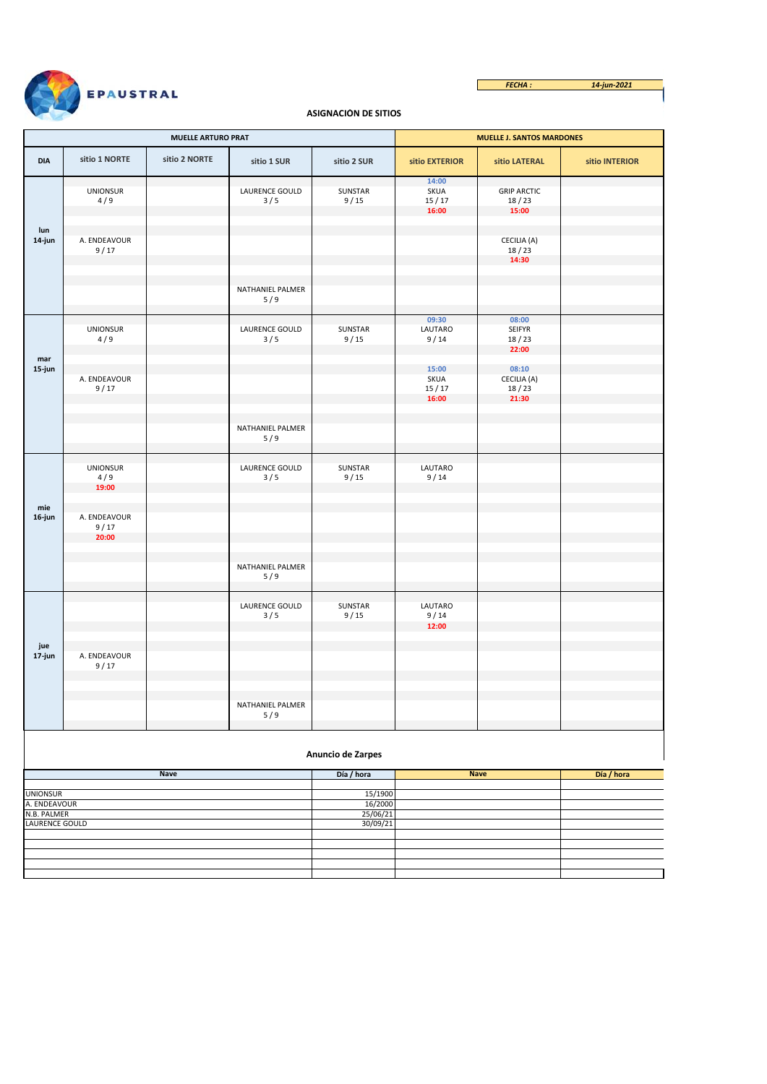

## **ASIGNACIÓN DE SITIOS**

|                                 |                                 | <b>MUELLE ARTURO PRAT</b> |                         |                   | <b>MUELLE J. SANTOS MARDONES</b> |                                          |                |  |  |
|---------------------------------|---------------------------------|---------------------------|-------------------------|-------------------|----------------------------------|------------------------------------------|----------------|--|--|
| DIA                             | sitio 1 NORTE                   | sitio 2 NORTE             | sitio 1 SUR             | sitio 2 SUR       | sitio EXTERIOR                   | sitio LATERAL                            | sitio INTERIOR |  |  |
|                                 | <b>UNIONSUR</b><br>4/9          |                           | LAURENCE GOULD<br>3/5   | SUNSTAR<br>9/15   | 14:00<br>SKUA<br>15/17<br>16:00  | <b>GRIP ARCTIC</b><br>18/23<br>15:00     |                |  |  |
| lun<br>14-jun                   | A. ENDEAVOUR<br>9/17            |                           |                         |                   |                                  | CECILIA (A)<br>18/23<br>14:30            |                |  |  |
|                                 |                                 |                           | NATHANIEL PALMER<br>5/9 |                   |                                  |                                          |                |  |  |
| mar                             | <b>UNIONSUR</b><br>4/9          |                           | LAURENCE GOULD<br>3/5   | SUNSTAR<br>9/15   | 09:30<br>LAUTARO<br>9/14         | 08:00<br><b>SEIFYR</b><br>18/23<br>22:00 |                |  |  |
| 15-jun                          | A. ENDEAVOUR<br>9/17            |                           |                         |                   | 15:00<br>SKUA<br>15/17<br>16:00  | 08:10<br>CECILIA (A)<br>18/23<br>21:30   |                |  |  |
|                                 |                                 |                           | NATHANIEL PALMER<br>5/9 |                   |                                  |                                          |                |  |  |
|                                 | <b>UNIONSUR</b><br>4/9<br>19:00 |                           | LAURENCE GOULD<br>3/5   | SUNSTAR<br>9/15   | LAUTARO<br>9/14                  |                                          |                |  |  |
| mie<br>16-jun                   | A. ENDEAVOUR<br>9/17<br>20:00   |                           |                         |                   |                                  |                                          |                |  |  |
|                                 |                                 |                           | NATHANIEL PALMER<br>5/9 |                   |                                  |                                          |                |  |  |
|                                 |                                 |                           | LAURENCE GOULD<br>3/5   | SUNSTAR<br>9/15   | LAUTARO<br>9/14<br>12:00         |                                          |                |  |  |
| jue<br>17-jun                   | A. ENDEAVOUR<br>9/17            |                           |                         |                   |                                  |                                          |                |  |  |
|                                 |                                 |                           | NATHANIEL PALMER<br>5/9 |                   |                                  |                                          |                |  |  |
|                                 |                                 |                           |                         | Anuncio de Zarpes |                                  |                                          |                |  |  |
|                                 |                                 | <b>Nave</b>               |                         | Día / hora        |                                  | <b>Nave</b>                              | Día / hora     |  |  |
|                                 |                                 |                           |                         | 15/1900           |                                  |                                          |                |  |  |
| <b>UNIONSUR</b><br>A. ENDEAVOUR |                                 |                           |                         | 16/2000           |                                  |                                          |                |  |  |
| N.B. PALMER                     |                                 |                           |                         | 25/06/21          |                                  |                                          |                |  |  |
| LAURENCE GOULD                  |                                 |                           |                         | 30/09/21          |                                  |                                          |                |  |  |
|                                 |                                 |                           |                         |                   |                                  |                                          |                |  |  |
|                                 |                                 |                           |                         |                   |                                  |                                          |                |  |  |
|                                 |                                 |                           |                         |                   |                                  |                                          |                |  |  |
|                                 |                                 |                           |                         |                   |                                  |                                          |                |  |  |